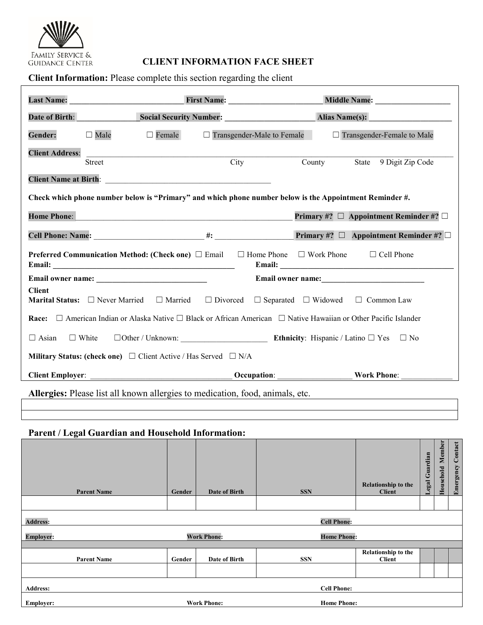

# **EAMILY SERVICE & CLIENT INFORMATION FACE SHEET** GUIDANCE CENTER **CLIENT INFORMATION FACE SHEET**

**Client Information:** Please complete this section regarding the client

| <b>Last Name:</b>            |                                                                               | First Name: Name:            | Middle Name: Name:                                                                                                           |
|------------------------------|-------------------------------------------------------------------------------|------------------------------|------------------------------------------------------------------------------------------------------------------------------|
| Date of Birth:               |                                                                               | Social Security Number:      | <b>Alias Name(s):</b>                                                                                                        |
| <b>Gender:</b>               | $\Box$ Female<br>$\Box$ Male                                                  | □ Transgender-Male to Female | □ Transgender-Female to Male                                                                                                 |
| <b>Client Address:</b>       |                                                                               |                              |                                                                                                                              |
|                              | Street                                                                        | City                         | State 9 Digit Zip Code<br>County                                                                                             |
| <b>Client Name at Birth:</b> | <u> 1980 - John Stein, Amerikaansk politiker (* 1918)</u>                     |                              |                                                                                                                              |
|                              |                                                                               |                              | Check which phone number below is "Primary" and which phone number below is the Appointment Reminder #.                      |
| <b>Home Phone:</b>           |                                                                               |                              | Primary #? $\Box$ Appointment Reminder #? $\Box$                                                                             |
|                              |                                                                               |                              | Primary #? $\Box$ Appointment Reminder #? $\Box$                                                                             |
|                              | <b>Preferred Communication Method: (Check one)</b> $\Box$ Email               |                              | $\Box$ Home Phone $\Box$ Work Phone $\Box$ Cell Phone                                                                        |
|                              |                                                                               |                              | Email owner name:                                                                                                            |
| <b>Client</b>                |                                                                               |                              | <b>Marital Status:</b> $\Box$ Never Married $\Box$ Married $\Box$ Divorced $\Box$ Separated $\Box$ Widowed $\Box$ Common Law |
| <b>Race:</b>                 |                                                                               |                              | $\Box$ American Indian or Alaska Native $\Box$ Black or African American $\Box$ Native Hawaiian or Other Pacific Islander    |
| $\Box$ Asian<br>$\Box$ White |                                                                               |                              |                                                                                                                              |
|                              | Military Status: (check one) $\Box$ Client Active / Has Served $\Box$ N/A     |                              |                                                                                                                              |
| <b>Client Employer:</b>      |                                                                               |                              | <b>Work Phone:</b>                                                                                                           |
|                              | Allergies: Please list all known allergies to medication, food, animals, etc. |                              |                                                                                                                              |

## **Parent / Legal Guardian and Household Information:**

| <b>Parent Name</b> | <b>Gender</b> | Date of Birth      | <b>SSN</b>         | Relationship to the<br><b>Client</b> | Legal Guardian | Member<br>Household | <b>Emergency Contact</b> |
|--------------------|---------------|--------------------|--------------------|--------------------------------------|----------------|---------------------|--------------------------|
|                    |               |                    |                    |                                      |                |                     |                          |
| <b>Address:</b>    |               |                    | <b>Cell Phone:</b> |                                      |                |                     |                          |
| <b>Employer:</b>   |               | <b>Work Phone:</b> | <b>Home Phone:</b> |                                      |                |                     |                          |
|                    |               |                    |                    |                                      |                |                     |                          |
| <b>Parent Name</b> | Gender        | Date of Birth      | <b>SSN</b>         | Relationship to the<br><b>Client</b> |                |                     |                          |
|                    |               |                    |                    |                                      |                |                     |                          |
| <b>Address:</b>    |               |                    | <b>Cell Phone:</b> |                                      |                |                     |                          |
| <b>Employer:</b>   |               | <b>Work Phone:</b> | <b>Home Phone:</b> |                                      |                |                     |                          |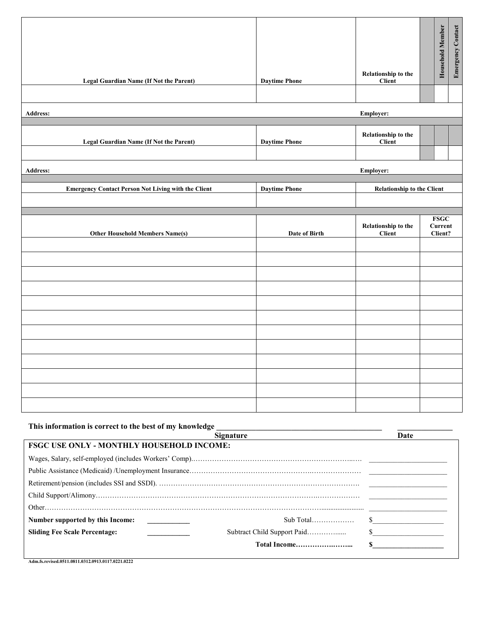|          | <b>Legal Guardian Name (If Not the Parent)</b>             | <b>Daytime Phone</b> | Relationship to the<br>Client        | <b>Household Member</b>                  | <b>Emergency Contact</b> |
|----------|------------------------------------------------------------|----------------------|--------------------------------------|------------------------------------------|--------------------------|
|          |                                                            |                      |                                      |                                          |                          |
| Address: |                                                            |                      | Employer:                            |                                          |                          |
|          | <b>Legal Guardian Name (If Not the Parent)</b>             | <b>Daytime Phone</b> | Relationship to the<br>Client        |                                          |                          |
| Address: |                                                            |                      | Employer:                            |                                          |                          |
|          | <b>Emergency Contact Person Not Living with the Client</b> | <b>Daytime Phone</b> | <b>Relationship to the Client</b>    |                                          |                          |
|          | <b>Other Household Members Name(s)</b>                     | Date of Birth        | Relationship to the<br><b>Client</b> | <b>FSGC</b><br><b>Current</b><br>Client? |                          |
|          |                                                            |                      |                                      |                                          |                          |
|          |                                                            |                      |                                      |                                          |                          |
|          |                                                            |                      |                                      |                                          |                          |
|          |                                                            |                      |                                      |                                          |                          |
|          |                                                            |                      |                                      |                                          |                          |
|          |                                                            |                      |                                      |                                          |                          |
|          |                                                            |                      |                                      |                                          |                          |

| This information is correct to the best of my knowledge |      |             |
|---------------------------------------------------------|------|-------------|
|                                                         | Date |             |
| <b>FSGC USE ONLY - MONTHLY HOUSEHOLD INCOME:</b>        |      |             |
|                                                         |      |             |
|                                                         |      |             |
|                                                         |      |             |
|                                                         |      |             |
|                                                         |      |             |
| Number supported by this Income:                        |      | $\sim$      |
| <b>Sliding Fee Scale Percentage:</b>                    |      | $\sim$      |
|                                                         |      | $\mathbf S$ |
|                                                         |      |             |

**Adm.fs.revised.0511.0811.0312.0913.0117.0221.0222**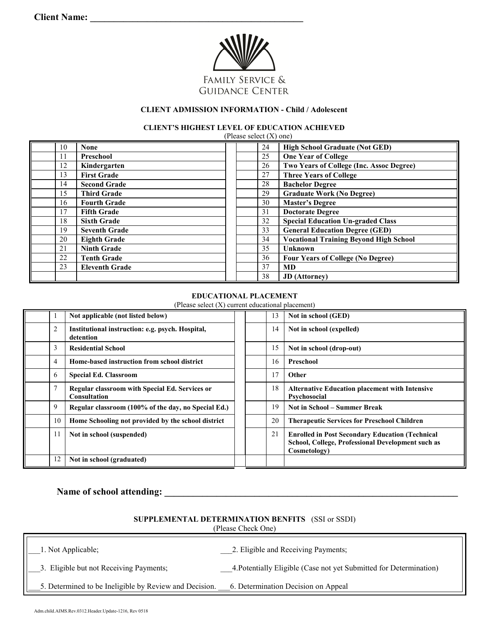

## **CLIENT ADMISSION INFORMATION - Child / Adolescent**

**CLIENT'S HIGHEST LEVEL OF EDUCATION ACHIEVED** 

| (Please select $(X)$ one) |                       |    |    |                                                 |  |
|---------------------------|-----------------------|----|----|-------------------------------------------------|--|
| 10                        | <b>None</b>           | 24 |    | <b>High School Graduate (Not GED)</b>           |  |
| 11                        | Preschool             | 25 |    | <b>One Year of College</b>                      |  |
| 12                        | Kindergarten          | 26 |    | <b>Two Years of College (Inc. Assoc Degree)</b> |  |
| 13                        | <b>First Grade</b>    | 27 |    | <b>Three Years of College</b>                   |  |
| 14                        | <b>Second Grade</b>   | 28 |    | <b>Bachelor Degree</b>                          |  |
| 15                        | <b>Third Grade</b>    | 29 |    | <b>Graduate Work (No Degree)</b>                |  |
| 16                        | <b>Fourth Grade</b>   | 30 |    | <b>Master's Degree</b>                          |  |
| 17                        | <b>Fifth Grade</b>    | 31 |    | <b>Doctorate Degree</b>                         |  |
| 18                        | <b>Sixth Grade</b>    | 32 |    | <b>Special Education Un-graded Class</b>        |  |
| 19                        | <b>Seventh Grade</b>  | 33 |    | <b>General Education Degree (GED)</b>           |  |
| 20                        | <b>Eighth Grade</b>   | 34 |    | <b>Vocational Training Beyond High School</b>   |  |
| 21                        | <b>Ninth Grade</b>    | 35 |    | <b>Unknown</b>                                  |  |
| 22                        | <b>Tenth Grade</b>    |    | 36 | <b>Four Years of College (No Degree)</b>        |  |
| 23                        | <b>Eleventh Grade</b> | 37 |    | MD                                              |  |
|                           |                       | 38 |    | <b>JD</b> (Attorney)                            |  |

#### **EDUCATIONAL PLACEMENT**

(Please select (X) current educational placement)

|                | Not applicable (not listed below)                                     |  | 13 | Not in school (GED)                                                                                                         |
|----------------|-----------------------------------------------------------------------|--|----|-----------------------------------------------------------------------------------------------------------------------------|
| $\overline{2}$ | Institutional instruction: e.g. psych. Hospital,<br>detention         |  | 14 | Not in school (expelled)                                                                                                    |
| 3              | <b>Residential School</b>                                             |  | 15 | Not in school (drop-out)                                                                                                    |
| $\overline{4}$ | Home-based instruction from school district                           |  | 16 | Preschool                                                                                                                   |
| 6              | <b>Special Ed. Classroom</b>                                          |  | 17 | Other                                                                                                                       |
|                | Regular classroom with Special Ed. Services or<br><b>Consultation</b> |  | 18 | <b>Alternative Education placement with Intensive</b><br>Psychosocial                                                       |
| 9              | Regular classroom (100% of the day, no Special Ed.)                   |  | 19 | <b>Not in School – Summer Break</b>                                                                                         |
| 10             | Home Schooling not provided by the school district                    |  | 20 | <b>Therapeutic Services for Preschool Children</b>                                                                          |
| 11             | Not in school (suspended)                                             |  | 21 | <b>Enrolled in Post Secondary Education (Technical</b><br>School, College, Professional Development such as<br>Cosmetology) |
| 12             | Not in school (graduated)                                             |  |    |                                                                                                                             |

# Name of school attending: **with a set of school** attending:

**SUPPLEMENTAL DETERMINATION BENFITS** (SSI or SSDI) (Please Check One)

| 1. Not Applicable;                                     | 2. Eligible and Receiving Payments;                                |
|--------------------------------------------------------|--------------------------------------------------------------------|
| 3. Eligible but not Receiving Payments;                | 4. Potentially Eligible (Case not yet Submitted for Determination) |
| 5. Determined to be Ineligible by Review and Decision. | 6. Determination Decision on Appeal                                |